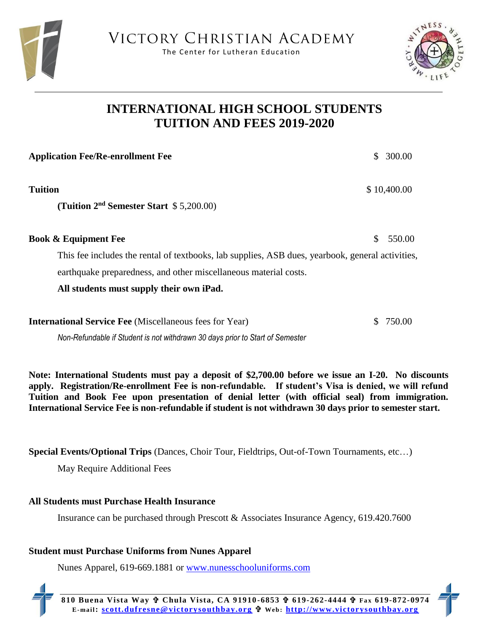



## **INTERNATIONAL HIGH SCHOOL STUDENTS TUITION AND FEES 2019-2020**

| <b>Application Fee/Re-enrollment Fee</b>                                                         | 300.00       |
|--------------------------------------------------------------------------------------------------|--------------|
| Tuition                                                                                          | \$10,400.00  |
| (Tuition $2nd$ Semester Start $$5,200.00$ )                                                      |              |
| <b>Book &amp; Equipment Fee</b>                                                                  | 550.00<br>S. |
| This fee includes the rental of textbooks, lab supplies, ASB dues, yearbook, general activities, |              |
| earthquake preparedness, and other miscellaneous material costs.                                 |              |
| All students must supply their own iPad.                                                         |              |
|                                                                                                  |              |

**International Service Fee** (Miscellaneous fees for Year) \$ 750.00

*Non-Refundable if Student is not withdrawn 30 days prior to Start of Semester*

**Note: International Students must pay a deposit of \$2,700.00 before we issue an I-20. No discounts apply. Registration/Re-enrollment Fee is non-refundable. If student's Visa is denied, we will refund Tuition and Book Fee upon presentation of denial letter (with official seal) from immigration. International Service Fee is non-refundable if student is not withdrawn 30 days prior to semester start.** 

**Special Events/Optional Trips** (Dances, Choir Tour, Fieldtrips, Out-of-Town Tournaments, etc…)

May Require Additional Fees

## **All Students must Purchase Health Insurance**

Insurance can be purchased through Prescott & Associates Insurance Agency, 619.420.7600

## **Student must Purchase Uniforms from Nunes Apparel**

Nunes Apparel, 619-669.1881 or [www.nunesschooluniforms.com](http://www.nunesschooluniforms.com/)